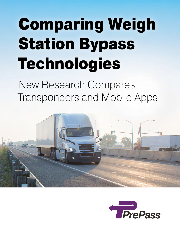## Comparing Weigh Station Bypass Technologies

New Research Compares Transponders and Mobile Apps



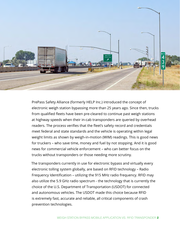

PrePass Safety Alliance (formerly HELP Inc.) introduced the concept of electronic weigh station bypassing more than 25 years ago. Since then, trucks from qualified fleets have been pre-cleared to continue past weigh stations at highway speeds when their in-cab transponders are queried by overhead readers. The process verifies that the fleet's safety record and credentials meet federal and state standards and the vehicle is operating within legal weight limits as shown by weigh-in-motion (WIM) readings. This is good news for truckers – who save time, money and fuel by not stopping. And it is good news for commercial vehicle enforcement – who can better focus on the trucks without transponders or those needing more scrutiny.

The transponders currently in use for electronic bypass and virtually every electronic tolling system globally, are based on RFID technology – Radio Frequency Identification – utilizing the 915 MHz radio frequency. RFID may also utilize the 5.9 GHz radio spectrum - the technology that is currently the choice of the U.S. Department of Transportation (USDOT) for connected and autonomous vehicles. The USDOT made this choice because RFID is extremely fast, accurate and reliable, all critical components of crash prevention technologies.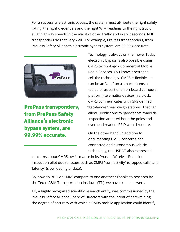For a successful electronic bypass, the system must attribute the right safety rating, the right credentials and the right WIM readings to the right truck, all at highway speeds in the midst of other traffic and in split seconds. RFID transponders do that very well. For example, PrePass transponders, from PrePass Safety Alliance's electronic bypass system, are 99.99% accurate.



PrePass transponders, from PrePass Safety Alliance's electronic bypass system, are 99.99% accurate.

Technology is always on the move. Today, electronic bypass is also possible using CMRS technology – Commercial Mobile Radio Services. You know it better as cellular technology. CMRS is flexible… it can be an "app" on a smart phone, a tablet, or as part of an on-board computer platform (telematics device) in a truck. CMRS communicates with GPS defined "geo-fences" near weigh stations. That can allow jurisdictions to "geo-fence" roadside inspection areas without the poles and overhead readers RFID would require.

On the other hand, in addition to documenting CMRS concerns for connected and autonomous vehicle technology, the USDOT also expressed

concerns about CMRS performance in its Phase II Wireless Roadside Inspection pilot due to issues such as CMRS "connectivity" (dropped calls) and "latency" (slow loading of data).

So, how do RFID or CMRS compare to one another? Thanks to research by the Texas A&M Transportation Institute (TTI), we have some answers.

TTI, a highly recognized scientific research entity, was commissioned by the PrePass Safety Alliance Board of Directors with the intent of determining the degree of accuracy with which a CMRS mobile application could identify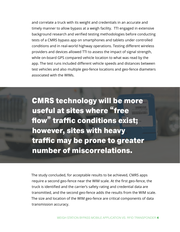and correlate a truck with its weight and credentials in an accurate and timely manner to allow bypass at a weigh facility. TTI engaged in extensive background research and verified testing methodologies before conducting tests of a CMRS bypass app on smartphones and tablets under controlled conditions and in real-world highway operations. Testing different wireless providers and devices allowed TTI to assess the impact of signal strength, while on-board GPS compared vehicle location to what was read by the app. The test runs included different vehicle speeds and distances between test vehicles and also multiple geo-fence locations and geo-fence diameters associated with the WIMs.

CMRS technology will be more useful at sites where "free flow" traffic conditions exist; however, sites with heavy traffic may be prone to greater number of miscorrelations.

The study concluded, for acceptable results to be achieved, CMRS apps require a second geo-fence near the WIM scale. At the first geo-fence, the truck is identified and the carrier's safety rating and credential data are transmitted, and the second geo-fence adds the results from the WIM scale. The size and location of the WIM geo-fence are critical components of data transmission accuracy.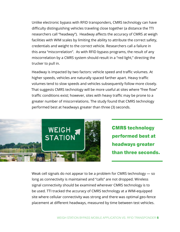Unlike electronic bypass with RFID transponders, CMRS technology can have difficulty distinguishing vehicles traveling close together (a distance the TTI researchers call "headway"). Headway affects the accuracy of CMRS at weigh facilities with WIM scales by limiting the ability to attribute the correct safety, credentials and weight to the correct vehicle. Researchers call a failure in this area "miscorrelation". As with RFID bypass programs, the result of any miscorrelation by a CMRS system should result in a "red light," directing the trucker to pull in.

Headway is impacted by two factors: vehicle speed and traffic volumes. At higher speeds, vehicles are naturally spaced farther apart. Heavy traffic volumes tend to slow speeds and vehicles subsequently follow more closely. That suggests CMRS technology will be more useful at sites where "free flow" traffic conditions exist; however, sites with heavy traffic may be prone to a greater number of miscorrelations. The study found that CMRS technology performed best at headways greater than three (3) seconds.



CMRS technology performed best at headways greater than three seconds.

Weak cell signals do not appear to be a problem for CMRS technology — so long as connectivity is maintained and "calls" are not dropped. Wireless signal connectivity should be examined wherever CMRS technology is to be used. TTI tracked the accuracy of CMRS technology at a WIM-equipped site where cellular connectivity was strong and there was optimal geo-fence placement at different headways, measured by time between test vehicles.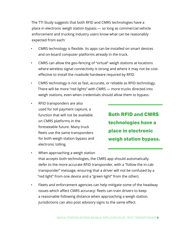The TTI Study suggests that both RFID and CMRS technologies have a place in electronic weigh station bypass — so long as commercial vehicle enforcement and trucking industry users know what can be reasonably expected from each:

- CMRS technology is flexible. Its apps can be installed on smart devices and on-board computer platforms already in the truck.
- CMRS can allow the geo-fencing of "virtual" weigh stations at locations where wireless signal connectivity is strong and where it may not be costeffective to install the roadside hardware required by RFID.
- CMRS technology is not as fast, accurate, or reliable as RFID technology. There will be more "red lights" with CMRS — more trucks directed into weigh stations, even when credentials should allow them to bypass.
- RFID transponders are also used for toll payment capture, a function that will not be available on CMRS platforms in the foreseeable future. Many truck fleets use the same transponders for both weigh station bypass and electronic tolling.

Both RFID and CMRS technologies have a place in electronic weigh station bypass.

- When approaching a weigh station that accepts both technologies, the CMRS app should automatically defer to the more accurate RFID transponder, with a "follow the in-cab transponder" message, ensuring that a driver will not be confused by a "red light" from one device and a "green light" from the other).
- Fleets and enforcement agencies can help mitigate some of the headway issues which affect CMRS accuracy: fleets can train drivers to keep a reasonable following distance when approaching a weigh station. Jurisdictions can also post advisory signs to the same effect.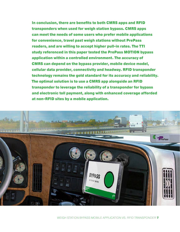In conclusion, there are benefits to both CMRS apps and RFID transponders when used for weigh station bypass. CMRS apps can meet the needs of some users who prefer mobile applications for convenience, travel past weigh stations without PrePass readers, and are willing to accept higher pull-in rates. The TTI study referenced in this paper tested the PrePass MOTION bypass application within a controlled environment. The accuracy of CMRS can depend on the bypass provider, mobile device model, cellular data provider, connectivity and headway. RFID transponder technology remains the gold standard for its accuracy and reliability. The optimal solution is to use a CMRS app alongside an RFID transponder to leverage the reliability of a transponder for bypass and electronic toll payment, along with enhanced coverage afforded at non-RFID sites by a mobile application.